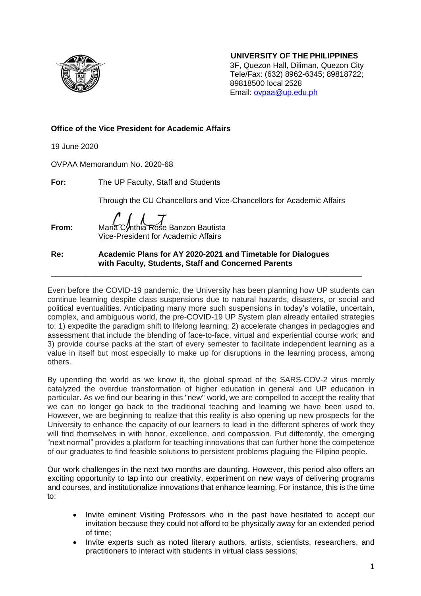

 **UNIVERSITY OF THE PHILIPPINES**

3F, Quezon Hall, Diliman, Quezon City Tele/Fax: (632) 8962-6345; 89818722; 89818500 local 2528 Email: [ovpaa@up.edu.ph](mailto:ovpaa@up.edu.ph)

# **Office of the Vice President for Academic Affairs**

19 June 2020

OVPAA Memorandum No. 2020-68

**For:** The UP Faculty, Staff and Students

Through the CU Chancellors and Vice-Chancellors for Academic Affairs

**From:** Maria Cynthia Rose Banzon Bautista Vice-President for Academic Affairs

**Re: Academic Plans for AY 2020-2021 and Timetable for Dialogues with Faculty, Students, Staff and Concerned Parents**

Even before the COVID-19 pandemic, the University has been planning how UP students can continue learning despite class suspensions due to natural hazards, disasters, or social and political eventualities. Anticipating many more such suspensions in today's volatile, uncertain, complex, and ambiguous world, the pre-COVID-19 UP System plan already entailed strategies to: 1) expedite the paradigm shift to lifelong learning; 2) accelerate changes in pedagogies and assessment that include the blending of face-to-face, virtual and experiential course work; and 3) provide course packs at the start of every semester to facilitate independent learning as a value in itself but most especially to make up for disruptions in the learning process, among others.

\_\_\_\_\_\_\_\_\_\_\_\_\_\_\_\_\_\_\_\_\_\_\_\_\_\_\_\_\_\_\_\_\_\_\_\_\_\_\_\_\_\_\_\_\_\_\_\_\_\_\_\_\_\_\_\_\_\_\_\_\_\_\_\_\_\_\_\_\_\_\_\_

By upending the world as we know it, the global spread of the SARS-COV-2 virus merely catalyzed the overdue transformation of higher education in general and UP education in particular. As we find our bearing in this "new" world, we are compelled to accept the reality that we can no longer go back to the traditional teaching and learning we have been used to. However, we are beginning to realize that this reality is also opening up new prospects for the University to enhance the capacity of our learners to lead in the different spheres of work they will find themselves in with honor, excellence, and compassion. Put differently, the emerging "next normal" provides a platform for teaching innovations that can further hone the competence of our graduates to find feasible solutions to persistent problems plaguing the Filipino people.

Our work challenges in the next two months are daunting. However, this period also offers an exciting opportunity to tap into our creativity, experiment on new ways of delivering programs and courses, and institutionalize innovations that enhance learning. For instance, this is the time to:

- Invite eminent Visiting Professors who in the past have hesitated to accept our invitation because they could not afford to be physically away for an extended period of time;
- Invite experts such as noted literary authors, artists, scientists, researchers, and practitioners to interact with students in virtual class sessions;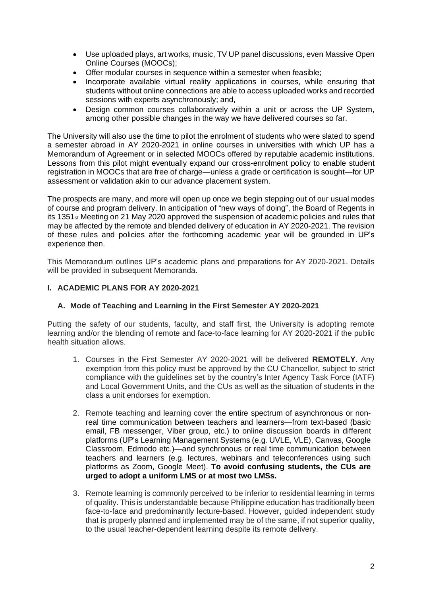- Use uploaded plays, art works, music, TV UP panel discussions, even Massive Open Online Courses (MOOCs);
- Offer modular courses in sequence within a semester when feasible;
- Incorporate available virtual reality applications in courses, while ensuring that students without online connections are able to access uploaded works and recorded sessions with experts asynchronously; and,
- Design common courses collaboratively within a unit or across the UP System, among other possible changes in the way we have delivered courses so far.

The University will also use the time to pilot the enrolment of students who were slated to spend a semester abroad in AY 2020-2021 in online courses in universities with which UP has a Memorandum of Agreement or in selected MOOCs offered by reputable academic institutions. Lessons from this pilot might eventually expand our cross-enrolment policy to enable student registration in MOOCs that are free of charge—unless a grade or certification is sought—for UP assessment or validation akin to our advance placement system.

The prospects are many, and more will open up once we begin stepping out of our usual modes of course and program delivery. In anticipation of "new ways of doing", the Board of Regents in its 1351st Meeting on 21 May 2020 approved the suspension of academic policies and rules that may be affected by the remote and blended delivery of education in AY 2020-2021. The revision of these rules and policies after the forthcoming academic year will be grounded in UP's experience then.

This Memorandum outlines UP's academic plans and preparations for AY 2020-2021. Details will be provided in subsequent Memoranda.

# **I. ACADEMIC PLANS FOR AY 2020-2021**

## **A. Mode of Teaching and Learning in the First Semester AY 2020-2021**

Putting the safety of our students, faculty, and staff first, the University is adopting remote learning and/or the blending of remote and face-to-face learning for AY 2020-2021 if the public health situation allows.

- 1. Courses in the First Semester AY 2020-2021 will be delivered **REMOTELY**. Any exemption from this policy must be approved by the CU Chancellor, subject to strict compliance with the guidelines set by the country's Inter Agency Task Force (IATF) and Local Government Units, and the CUs as well as the situation of students in the class a unit endorses for exemption.
- 2. Remote teaching and learning cover the entire spectrum of asynchronous or nonreal time communication between teachers and learners—from text-based (basic email, FB messenger, Viber group, etc.) to online discussion boards in different platforms (UP's Learning Management Systems (e.g. UVLE, VLE), Canvas, Google Classroom, Edmodo etc.)—and synchronous or real time communication between teachers and learners (e.g. lectures, webinars and teleconferences using such platforms as Zoom, Google Meet). **To avoid confusing students, the CUs are urged to adopt a uniform LMS or at most two LMSs.**
- 3. Remote learning is commonly perceived to be inferior to residential learning in terms of quality. This is understandable because Philippine education has traditionally been face-to-face and predominantly lecture-based. However, guided independent study that is properly planned and implemented may be of the same, if not superior quality, to the usual teacher-dependent learning despite its remote delivery.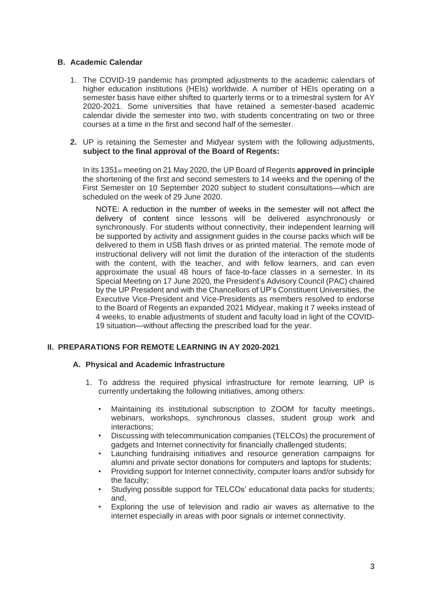# **B. Academic Calendar**

- 1. The COVID-19 pandemic has prompted adjustments to the academic calendars of higher education institutions (HEIs) worldwide. A number of HEIs operating on a semester basis have either shifted to quarterly terms or to a trimestral system for AY 2020-2021. Some universities that have retained a semester-based academic calendar divide the semester into two, with students concentrating on two or three courses at a time in the first and second half of the semester.
- **2.** UP is retaining the Semester and Midyear system with the following adjustments, **subject to the final approval of the Board of Regents:**

In its 1351st meeting on 21 May 2020, the UP Board of Regents **approved in principle** the shortening of the first and second semesters to 14 weeks and the opening of the First Semester on 10 September 2020 subject to student consultations—which are scheduled on the week of 29 June 2020.

NOTE: A reduction in the number of weeks in the semester will not affect the delivery of content since lessons will be delivered asynchronously or synchronously. For students without connectivity, their independent learning will be supported by activity and assignment guides in the course packs which will be delivered to them in USB flash drives or as printed material. The remote mode of instructional delivery will not limit the duration of the interaction of the students with the content, with the teacher, and with fellow learners, and can even approximate the usual 48 hours of face-to-face classes in a semester. In its Special Meeting on 17 June 2020, the President's Advisory Council (PAC) chaired by the UP President and with the Chancellors of UP's Constituent Universities, the Executive Vice-President and Vice-Presidents as members resolved to endorse to the Board of Regents an expanded 2021 Midyear, making it 7 weeks instead of 4 weeks, to enable adjustments of student and faculty load in light of the COVID-19 situation—without affecting the prescribed load for the year.

## **II. PREPARATIONS FOR REMOTE LEARNING IN AY 2020-2021**

## **A. Physical and Academic Infrastructure**

- 1. To address the required physical infrastructure for remote learning, UP is currently undertaking the following initiatives, among others:
	- Maintaining its institutional subscription to ZOOM for faculty meetings, webinars, workshops, synchronous classes, student group work and interactions;
	- Discussing with telecommunication companies (TELCOs) the procurement of gadgets and Internet connectivity for financially challenged students;
	- Launching fundraising initiatives and resource generation campaigns for alumni and private sector donations for computers and laptops for students;
	- Providing support for Internet connectivity, computer loans and/or subsidy for the faculty;
	- Studying possible support for TELCOs' educational data packs for students; and,
	- Exploring the use of television and radio air waves as alternative to the internet especially in areas with poor signals or internet connectivity.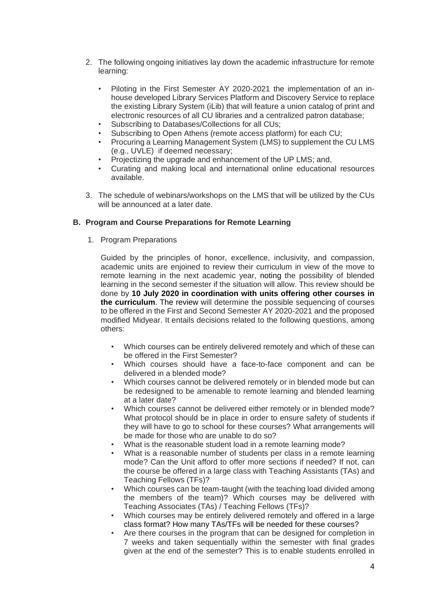- 2. The following ongoing initiatives lay down the academic infrastructure for remote learning:
	- Piloting in the First Semester AY 2020-2021 the implementation of an inhouse developed Library Services Platform and Discovery Service to replace the existing Library System (iLib) that will feature a union catalog of print and electronic resources of all CU libraries and a centralized patron database;
	- Subscribing to Databases/Collections for all CUs;
	- Subscribing to Open Athens (remote access platform) for each CU;
	- Procuring a Learning Management System (LMS) to supplement the CU LMS (e.g., UVLE) if deemed necessary;
	- Projectizing the upgrade and enhancement of the UP LMS; and,
	- Curating and making local and international online educational resources available.
- 3. The schedule of webinars/workshops on the LMS that will be utilized by the CUs will be announced at a later date.

#### **B. Program and Course Preparations for Remote Learning**

1. Program Preparations

Guided by the principles of honor, excellence, inclusivity, and compassion, academic units are enjoined to review their curriculum in view of the move to remote learning in the next academic year, noting the possibility of blended learning in the second semester if the situation will allow. This review should be done by **10 July 2020 in coordination with units offering other courses in the curriculum**. The review will determine the possible sequencing of courses to be offered in the First and Second Semester AY 2020-2021 and the proposed modified Midyear. It entails decisions related to the following questions, among others:

- Which courses can be entirely delivered remotely and which of these can be offered in the First Semester?
- Which courses should have a face-to-face component and can be delivered in a blended mode?
- Which courses cannot be delivered remotely or in blended mode but can be redesigned to be amenable to remote learning and blended learning at a later date?
- Which courses cannot be delivered either remotely or in blended mode? What protocol should be in place in order to ensure safety of students if they will have to go to school for these courses? What arrangements will be made for those who are unable to do so?
- What is the reasonable student load in a remote learning mode?
- What is a reasonable number of students per class in a remote learning mode? Can the Unit afford to offer more sections if needed? If not, can the course be offered in a large class with Teaching Assistants (TAs) and Teaching Fellows (TFs)?
- Which courses can be team-taught (with the teaching load divided among the members of the team)? Which courses may be delivered with Teaching Associates (TAs) / Teaching Fellows (TFs)?
- Which courses may be entirely delivered remotely and offered in a large class format? How many TAs/TFs will be needed for these courses?
- Are there courses in the program that can be designed for completion in 7 weeks and taken sequentially within the semester with final grades given at the end of the semester? This is to enable students enrolled in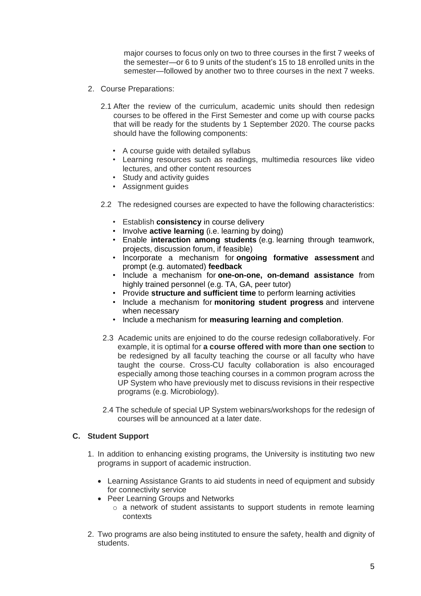major courses to focus only on two to three courses in the first 7 weeks of the semester—or 6 to 9 units of the student's 15 to 18 enrolled units in the semester—followed by another two to three courses in the next 7 weeks.

- 2. Course Preparations:
	- 2.1 After the review of the curriculum, academic units should then redesign courses to be offered in the First Semester and come up with course packs that will be ready for the students by 1 September 2020. The course packs should have the following components:
		- A course guide with detailed syllabus
		- Learning resources such as readings, multimedia resources like video lectures, and other content resources
		- Study and activity guides
		- Assignment guides
	- 2.2 The redesigned courses are expected to have the following characteristics:
		- Establish **consistency** in course delivery
		- Involve **active learning** (i.e. learning by doing)
		- Enable **interaction among students** (e.g. learning through teamwork, projects, discussion forum, if feasible)
		- Incorporate a mechanism for **ongoing formative assessment** and prompt (e.g. automated) **feedback**
		- Include a mechanism for **one-on-one, on-demand assistance** from highly trained personnel (e.g. TA, GA, peer tutor)
		- Provide **structure and sufficient time** to perform learning activities
		- Include a mechanism for **monitoring student progress** and intervene when necessary
		- Include a mechanism for **measuring learning and completion**.
	- 2.3 Academic units are enjoined to do the course redesign collaboratively. For example, it is optimal for **a course offered with more than one section** to be redesigned by all faculty teaching the course or all faculty who have taught the course. Cross-CU faculty collaboration is also encouraged especially among those teaching courses in a common program across the UP System who have previously met to discuss revisions in their respective programs (e.g. Microbiology).
	- 2.4 The schedule of special UP System webinars/workshops for the redesign of courses will be announced at a later date.

# **C. Student Support**

- 1. In addition to enhancing existing programs, the University is instituting two new programs in support of academic instruction.
	- Learning Assistance Grants to aid students in need of equipment and subsidy for connectivity service
	- Peer Learning Groups and Networks
		- o a network of student assistants to support students in remote learning contexts
- 2. Two programs are also being instituted to ensure the safety, health and dignity of students.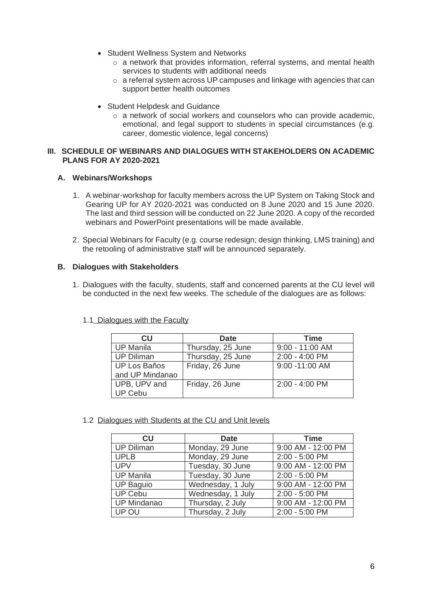- Student Wellness System and Networks
	- o a network that provides information, referral systems, and mental health services to students with additional needs
	- o a referral system across UP campuses and linkage with agencies that can support better health outcomes
- Student Helpdesk and Guidance
	- o a network of social workers and counselors who can provide academic, emotional, and legal support to students in special circumstances (e.g. career, domestic violence, legal concerns)

### **III. SCHEDULE OF WEBINARS AND DIALOGUES WITH STAKEHOLDERS ON ACADEMIC PLANS FOR AY 2020-2021**

# **A. Webinars/Workshops**

- 1. A webinar-workshop for faculty members across the UP System on Taking Stock and Gearing UP for AY 2020-2021 was conducted on 8 June 2020 and 15 June 2020. The last and third session will be conducted on 22 June 2020. A copy of the recorded webinars and PowerPoint presentations will be made available.
- 2. Special Webinars for Faculty (e.g. course redesign; design thinking, LMS training) and the retooling of administrative staff will be announced separately.

# **B. Dialogues with Stakeholders**

1. Dialogues with the faculty, students, staff and concerned parents at the CU level will be conducted in the next few weeks. The schedule of the dialogues are as follows:

| CU                  | <b>Date</b>       | <b>Time</b>      |
|---------------------|-------------------|------------------|
| <b>UP Manila</b>    | Thursday, 25 June | 9:00 - 11:00 AM  |
| <b>UP Diliman</b>   | Thursday, 25 June | 2:00 - 4:00 PM   |
| <b>UP Los Baños</b> | Friday, 26 June   | 9:00 -11:00 AM   |
| and UP Mindanao     |                   |                  |
| UPB, UPV and        | Friday, 26 June   | $2:00 - 4:00$ PM |
| UP Cebu             |                   |                  |

## 1.1 Dialogues with the Faculty

1.2 Dialogues with Students at the CU and Unit levels

| CU                 | <b>Date</b>       | <b>Time</b>          |
|--------------------|-------------------|----------------------|
| <b>UP Diliman</b>  | Monday, 29 June   | 9:00 AM - 12:00 PM   |
| <b>UPLB</b>        | Monday, 29 June   | 2:00 - 5:00 PM       |
| <b>UPV</b>         | Tuesday, 30 June  | $9.00$ AM - 12:00 PM |
| <b>UP Manila</b>   | Tuesday, 30 June  | 2:00 - 5:00 PM       |
| <b>UP Baguio</b>   | Wednesday, 1 July | 9:00 AM - 12:00 PM   |
| <b>UP Cebu</b>     | Wednesday, 1 July | 2:00 - 5:00 PM       |
| <b>UP Mindanao</b> | Thursday, 2 July  | 9:00 AM - 12:00 PM   |
| UP OU              | Thursday, 2 July  | 2:00 - 5:00 PM       |